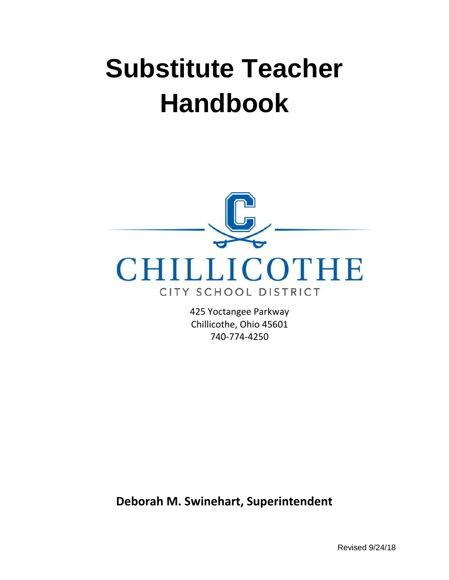# **Substitute Teacher Handbook**



425 Yoctangee Parkway Chillicothe, Ohio 45601 740-774-4250

**Deborah M. Swinehart, Superintendent**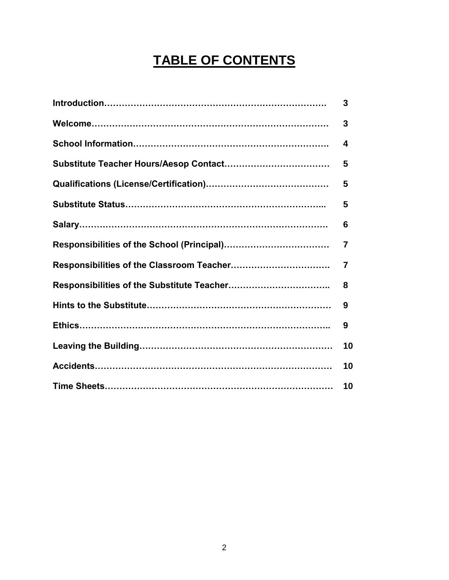# **TABLE OF CONTENTS**

| 3              |
|----------------|
| 3              |
| 4              |
| 5              |
| 5              |
| 5              |
| 6              |
| $\overline{7}$ |
| 7              |
| 8              |
| 9              |
| 9              |
| 10             |
| 10             |
| 10             |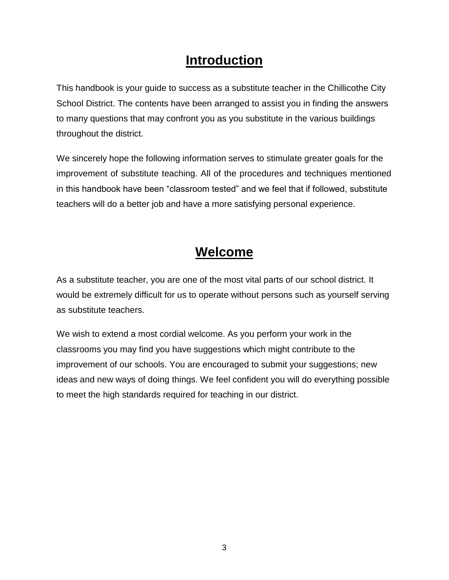# **Introduction**

This handbook is your guide to success as a substitute teacher in the Chillicothe City School District. The contents have been arranged to assist you in finding the answers to many questions that may confront you as you substitute in the various buildings throughout the district.

We sincerely hope the following information serves to stimulate greater goals for the improvement of substitute teaching. All of the procedures and techniques mentioned in this handbook have been "classroom tested" and we feel that if followed, substitute teachers will do a better job and have a more satisfying personal experience.

# **Welcome**

As a substitute teacher, you are one of the most vital parts of our school district. It would be extremely difficult for us to operate without persons such as yourself serving as substitute teachers.

We wish to extend a most cordial welcome. As you perform your work in the classrooms you may find you have suggestions which might contribute to the improvement of our schools. You are encouraged to submit your suggestions; new ideas and new ways of doing things. We feel confident you will do everything possible to meet the high standards required for teaching in our district.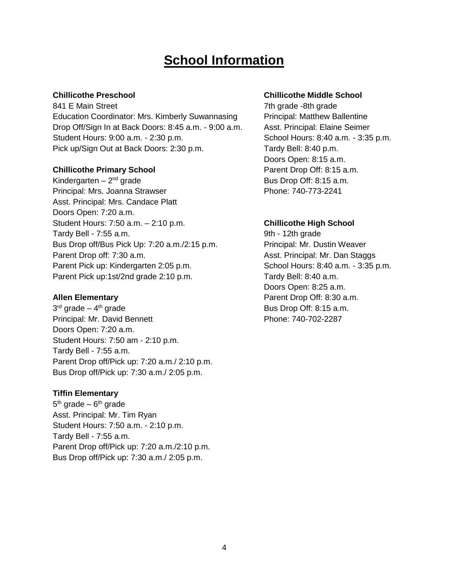# **School Information**

841 E Main Street 7th grade -8th grade -8th grade -8th grade -8th grade -8th grade -8th grade -8th grade -Education Coordinator: Mrs. Kimberly Suwannasing Principal: Matthew Ballentine Drop Off/Sign In at Back Doors: 8:45 a.m. - 9:00 a.m. Asst. Principal: Elaine Seimer Student Hours: 9:00 a.m. - 2:30 p.m. School Hours: 8:40 a.m. - 3:35 p.m. Pick up/Sign Out at Back Doors: 2:30 p.m. Tardy Bell: 8:40 p.m.

#### **Chillicothe Primary School Parent Drop Off: 8:15 a.m.**

Kindergarten  $-2<sup>nd</sup>$  grade Principal: Mrs. Joanna Strawser Phone: 740-773-2241 Asst. Principal: Mrs. Candace Platt Doors Open: 7:20 a.m. Student Hours: 7:50 a.m. – 2:10 p.m. **Chillicothe High School** Tardy Bell - 7:55 a.m. Tardy Bell - 7:55 a.m. Bus Drop off/Bus Pick Up: 7:20 a.m./2:15 p.m. Principal: Mr. Dustin Weaver Parent Drop off: 7:30 a.m. Asst. Principal: Mr. Dan Staggs Parent Pick up: Kindergarten 2:05 p.m. School Hours: 8:40 a.m. - 3:35 p.m. Parent Pick up:1st/2nd grade 2:10 p.m. Tardy Bell: 8:40 a.m.

3 rd grade – 4 Principal: Mr. David Bennett Phone: 740-702-2287 Doors Open: 7:20 a.m. Student Hours: 7:50 am - 2:10 p.m. Tardy Bell - 7:55 a.m. Parent Drop off/Pick up: 7:20 a.m./ 2:10 p.m. Bus Drop off/Pick up: 7:30 a.m./ 2:05 p.m.

#### **Tiffin Elementary**

5<sup>th</sup> grade – 6<sup>th</sup> grade Asst. Principal: Mr. Tim Ryan Student Hours: 7:50 a.m. - 2:10 p.m. Tardy Bell - 7:55 a.m. Parent Drop off/Pick up: 7:20 a.m./2:10 p.m. Bus Drop off/Pick up: 7:30 a.m./ 2:05 p.m.

#### **Chillicothe Preschool Chillicothe Middle School**

Doors Open: 8:15 a.m. Bus Drop Off: 8:15 a.m.

Doors Open: 8:25 a.m. **Allen Elementary Parent Drop Off: 8:30 a.m.** Bus Drop Off: 8:15 a.m.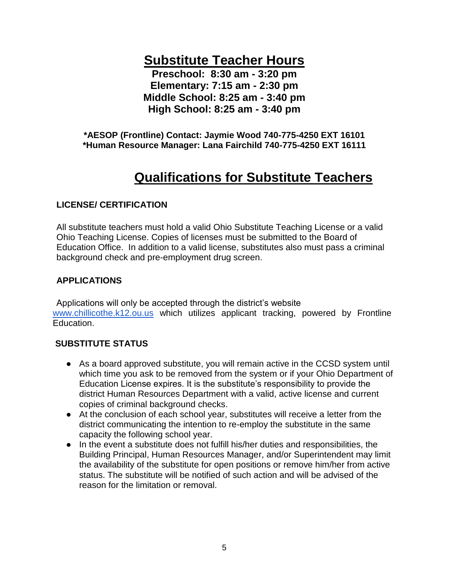**Substitute Teacher Hours**

**Preschool: 8:30 am - 3:20 pm Elementary: 7:15 am - 2:30 pm Middle School: 8:25 am - 3:40 pm High School: 8:25 am - 3:40 pm**

**\*AESOP (Frontline) Contact: Jaymie Wood 740-775-4250 EXT 16101 \*Human Resource Manager: Lana Fairchild 740-775-4250 EXT 16111**

# **Qualifications for Substitute Teachers**

## **LICENSE/ CERTIFICATION**

All substitute teachers must hold a valid Ohio Substitute Teaching License or a valid Ohio Teaching License. Copies of licenses must be submitted to the Board of Education Office. In addition to a valid license, substitutes also must pass a criminal background check and pre-employment drug screen.

# **APPLICATIONS**

Applications will only be accepted through the district's website [www.chillicothe.k12.ou.us](http://www.chillicothe.k12.ou.us/) which utilizes applicant tracking, powered by Frontline Education.

## **SUBSTITUTE STATUS**

- As a board approved substitute, you will remain active in the CCSD system until which time you ask to be removed from the system or if your Ohio Department of Education License expires. It is the substitute's responsibility to provide the district Human Resources Department with a valid, active license and current copies of criminal background checks.
- At the conclusion of each school year, substitutes will receive a letter from the district communicating the intention to re-employ the substitute in the same capacity the following school year.
- In the event a substitute does not fulfill his/her duties and responsibilities, the Building Principal, Human Resources Manager, and/or Superintendent may limit the availability of the substitute for open positions or remove him/her from active status. The substitute will be notified of such action and will be advised of the reason for the limitation or removal.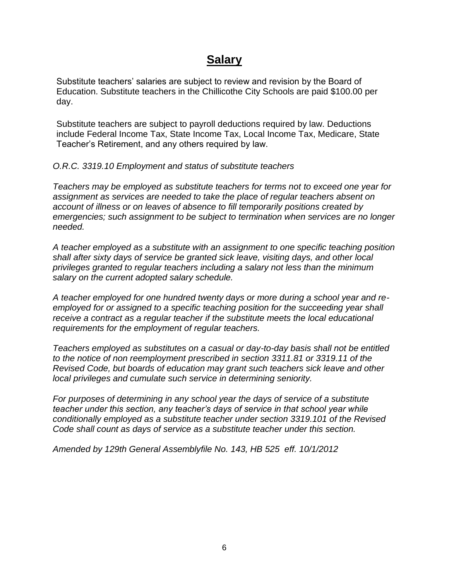# **Salary**

Substitute teachers' salaries are subject to review and revision by the Board of Education. Substitute teachers in the Chillicothe City Schools are paid \$100.00 per day.

Substitute teachers are subject to payroll deductions required by law. Deductions include Federal Income Tax, State Income Tax, Local Income Tax, Medicare, State Teacher's Retirement, and any others required by law.

### *O.R.C. 3319.10 Employment and status of substitute teachers*

*Teachers may be employed as substitute teachers for terms not to exceed one year for assignment as services are needed to take the place of regular teachers absent on account of illness or on leaves of absence to fill temporarily positions created by emergencies; such assignment to be subject to termination when services are no longer needed.*

*A teacher employed as a substitute with an assignment to one specific teaching position shall after sixty days of service be granted sick leave, visiting days, and other local privileges granted to regular teachers including a salary not less than the minimum salary on the current adopted salary schedule.*

*A teacher employed for one hundred twenty days or more during a school year and reemployed for or assigned to a specific teaching position for the succeeding year shall receive a contract as a regular teacher if the substitute meets the local educational requirements for the employment of regular teachers.*

*Teachers employed as substitutes on a casual or day-to-day basis shall not be entitled to the notice of non reemployment prescribed in section 3311.81 or 3319.11 of the Revised Code, but boards of education may grant such teachers sick leave and other local privileges and cumulate such service in determining seniority.*

*For purposes of determining in any school year the days of service of a substitute teacher under this section, any teacher's days of service in that school year while conditionally employed as a substitute teacher under section 3319.101 of the Revised Code shall count as days of service as a substitute teacher under this section.*

*Amended by 129th General Assemblyfile No. 143, HB 525 eff. 10/1/2012*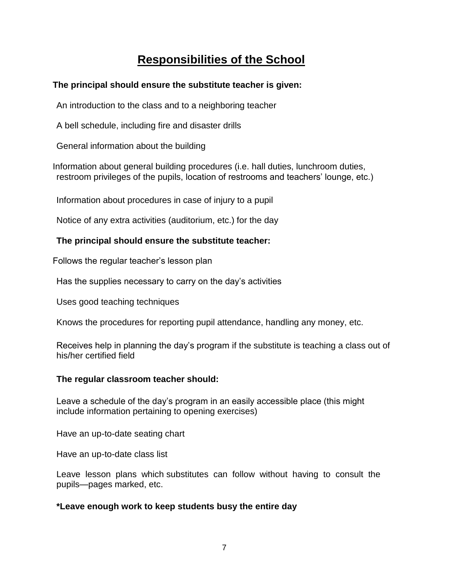# **Responsibilities of the School**

## **The principal should ensure the substitute teacher is given:**

An introduction to the class and to a neighboring teacher

A bell schedule, including fire and disaster drills

General information about the building

Information about general building procedures (i.e. hall duties, lunchroom duties, restroom privileges of the pupils, location of restrooms and teachers' lounge, etc.)

Information about procedures in case of injury to a pupil

Notice of any extra activities (auditorium, etc.) for the day

# **The principal should ensure the substitute teacher:**

Follows the regular teacher's lesson plan

Has the supplies necessary to carry on the day's activities

Uses good teaching techniques

Knows the procedures for reporting pupil attendance, handling any money, etc.

Receives help in planning the day's program if the substitute is teaching a class out of his/her certified field

# **The regular classroom teacher should:**

Leave a schedule of the day's program in an easily accessible place (this might include information pertaining to opening exercises)

Have an up-to-date seating chart

Have an up-to-date class list

Leave lesson plans which substitutes can follow without having to consult the pupils—pages marked, etc.

# **\*Leave enough work to keep students busy the entire day**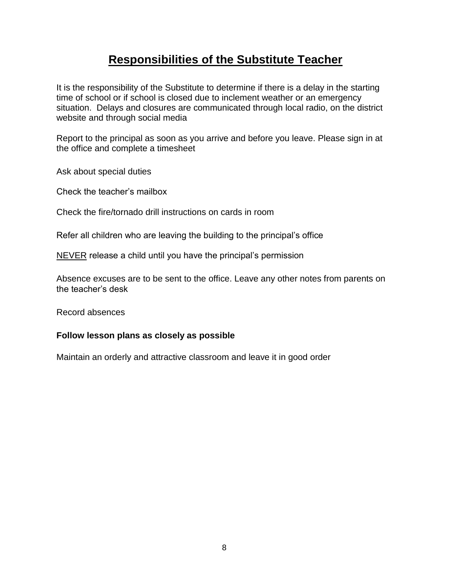# **Responsibilities of the Substitute Teacher**

It is the responsibility of the Substitute to determine if there is a delay in the starting time of school or if school is closed due to inclement weather or an emergency situation. Delays and closures are communicated through local radio, on the district website and through social media

Report to the principal as soon as you arrive and before you leave. Please sign in at the office and complete a timesheet

Ask about special duties

Check the teacher's mailbox

Check the fire/tornado drill instructions on cards in room

Refer all children who are leaving the building to the principal's office

NEVER release a child until you have the principal's permission

Absence excuses are to be sent to the office. Leave any other notes from parents on the teacher's desk

Record absences

#### **Follow lesson plans as closely as possible**

Maintain an orderly and attractive classroom and leave it in good order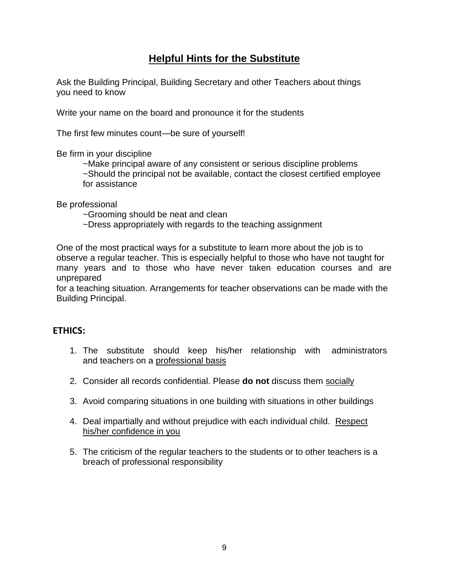# **Helpful Hints for the Substitute**

Ask the Building Principal, Building Secretary and other Teachers about things you need to know

Write your name on the board and pronounce it for the students

The first few minutes count—be sure of yourself!

Be firm in your discipline

~Make principal aware of any consistent or serious discipline problems ~Should the principal not be available, contact the closest certified employee for assistance

Be professional

~Grooming should be neat and clean

~Dress appropriately with regards to the teaching assignment

One of the most practical ways for a substitute to learn more about the job is to observe a regular teacher. This is especially helpful to those who have not taught for many years and to those who have never taken education courses and are unprepared

for a teaching situation. Arrangements for teacher observations can be made with the Building Principal.

#### **ETHICS:**

- 1. The substitute should keep his/her relationship with administrators and teachers on a professional basis
- 2. Consider all records confidential. Please **do not** discuss them socially
- 3. Avoid comparing situations in one building with situations in other buildings
- 4. Deal impartially and without prejudice with each individual child. Respect his/her confidence in you
- 5. The criticism of the regular teachers to the students or to other teachers is a breach of professional responsibility